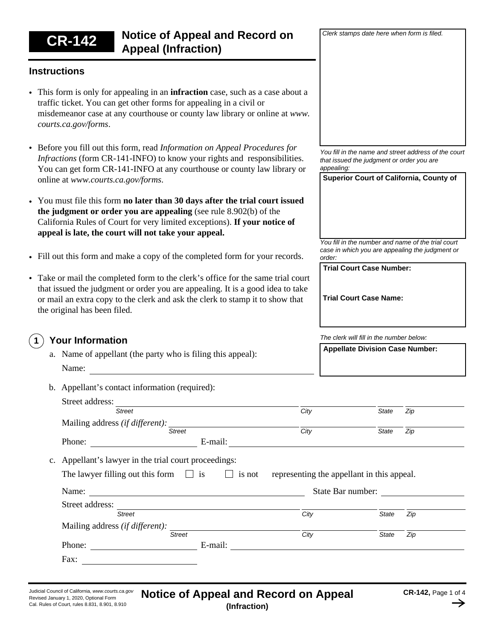# **CR-142 Notice of Appeal and Record on Appeal (Infraction)**

## **Instructions**

- This form is only for appealing in an **infraction** case, such as a case about a traffic ticket. You can get other forms for appealing in a civil or misdemeanor case at any courthouse or county law library or online at *www. courts.ca.gov/forms*.
- Before you fill out this form, read *Information on Appeal Procedures for Infractions* (form CR-141-INFO) to know your rights and responsibilities. You can get form CR-141-INFO at any courthouse or county law library or online at *www.courts.ca.gov/forms*.
- You must file this form **no later than 30 days after the trial court issued the judgment or order you are appealing** (see rule 8.902(b) of the California Rules of Court for very limited exceptions). **If your notice of appeal is late, the court will not take your appeal.**
- Fill out this form and make a copy of the completed form for your records.
- Take or mail the completed form to the clerk's office for the same trial court that issued the judgment or order you are appealing. It is a good idea to take or mail an extra copy to the clerk and ask the clerk to stamp it to show that the original has been filed.

#### **Your Information 1**

- a. Name of appellant (the party who is filing this appeal): Name:
- b. Appellant's contact information (required):

| City<br>$\overline{City}$<br>representing the appellant in this appeal.<br>State Bar number: | <b>State</b><br><b>State</b> | Zip<br>Zip |
|----------------------------------------------------------------------------------------------|------------------------------|------------|
|                                                                                              |                              |            |
|                                                                                              |                              |            |
|                                                                                              |                              |            |
|                                                                                              |                              |            |
|                                                                                              |                              |            |
|                                                                                              |                              |            |
|                                                                                              |                              |            |
|                                                                                              |                              |            |
| City                                                                                         | <b>State</b>                 | Zip        |
|                                                                                              |                              |            |
| City                                                                                         | <b>State</b>                 | Zip        |
|                                                                                              |                              |            |
|                                                                                              |                              |            |
|                                                                                              |                              |            |

*You fill in the name and street address of the court that issued the judgment or order you are appealing:*

**Superior Court of California, County of**

*Clerk stamps date here when form is filed.*

*You fill in the number and name of the trial court case in which you are appealing the judgment or order:*

**Trial Court Case Number:**

**Trial Court Case Name:**

*The clerk will fill in the number below:*

| <b>Appellate Division Case Number:</b> |  |
|----------------------------------------|--|
|                                        |  |
|                                        |  |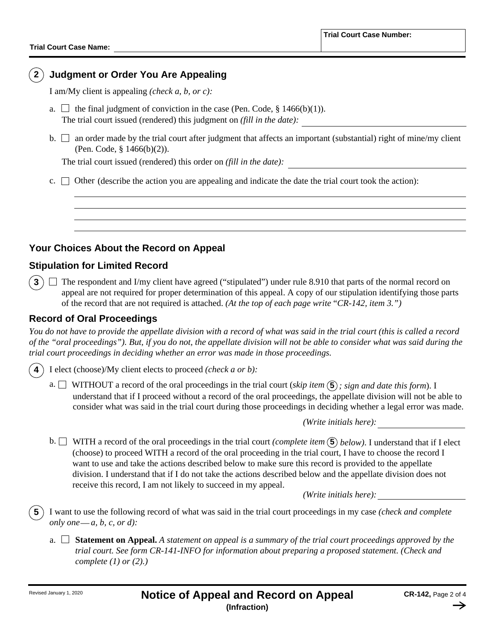## **2 Judgment or Order You Are Appealing**

I am/My client is appealing *(check a, b, or c):* 

- a.  $\Box$  the final judgment of conviction in the case (Pen. Code, § 1466(b)(1)). The trial court issued (rendered) this judgment on *(fill in the date):*
- b. an order made by the trial court after judgment that affects an important (substantial) right of mine/my client (Pen. Code, § 1466(b)(2)).

The trial court issued (rendered) this order on *(fill in the date):*

c.  $\Box$  Other (describe the action you are appealing and indicate the date the trial court took the action):

## **Your Choices About the Record on Appeal**

## **Stipulation for Limited Record**

**3**)  $\Box$  The respondent and I/my client have agreed ("stipulated") under rule 8.910 that parts of the normal record on appeal are not required for proper determination of this appeal. A copy of our stipulation identifying those parts of the record that are not required is attached. *(At the top of each page write* "*CR-142, item 3.")*

### **Record of Oral Proceedings**

*You do not have to provide the appellate division with a record of what was said in the trial court (this is called a record of the "oral proceedings"). But, if you do not, the appellate division will not be able to consider what was said during the trial court proceedings in deciding whether an error was made in those proceedings.*

I elect (choose)/My client elects to proceed *(check a or b):*  **4**

a.  $\Box$  WITHOUT a record of the oral proceedings in the trial court (*skip item*  $(5)$ *; sign and date this form*). I understand that if I proceed without a record of the oral proceedings, the appellate division will not be able to consider what was said in the trial court during those proceedings in deciding whether a legal error was made.

*(Write initials here):*

b. WITH a record of the oral proceedings in the trial court *(complete item*  **5** *below)*. I understand that if I elect (choose) to proceed WITH a record of the oral proceeding in the trial court, I have to choose the record I want to use and take the actions described below to make sure this record is provided to the appellate division. I understand that if I do not take the actions described below and the appellate division does not receive this record, I am not likely to succeed in my appeal.

*(Write initials here):*

I want to use the following record of what was said in the trial court proceedings in my case *(check and complete only one a, b, c, or d):* — **5**

**Statement on Appeal.** *A statement on appeal is a summary of the trial court proceedings approved by the*  a. *trial court. See form CR-141-INFO for information about preparing a proposed statement. (Check and complete (1) or (2).)*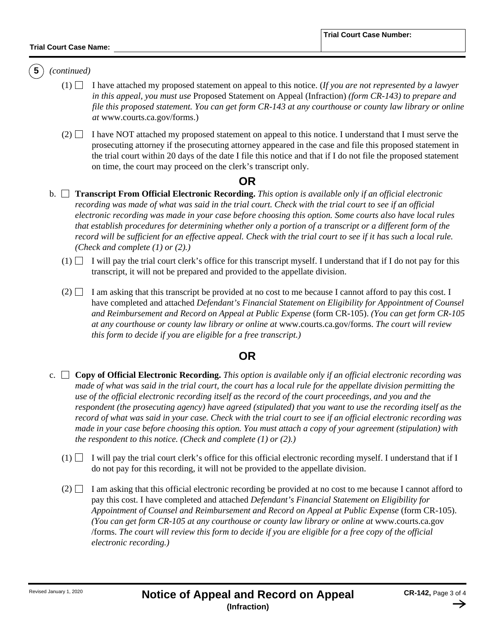#### **Trial Court Case Name:**

## **5** *(continued)*

- $(1)$  I have attached my proposed statement on appeal to this notice. (*If you are not represented by a lawyer in this appeal, you must use* Proposed Statement on Appeal (Infraction) *(form CR-143) to prepare and file this proposed statement. You can get form CR-143 at any courthouse or county law library or online at* www.courts.ca.gov/forms.)
- $(2)$  I have NOT attached my proposed statement on appeal to this notice. I understand that I must serve the prosecuting attorney if the prosecuting attorney appeared in the case and file this proposed statement in the trial court within 20 days of the date I file this notice and that if I do not file the proposed statement on time, the court may proceed on the clerk's transcript only.

## **OR**

- **Transcript From Official Electronic Recording.** *This option is available only if an official electronic* b. *recording was made of what was said in the trial court. Check with the trial court to see if an official electronic recording was made in your case before choosing this option. Some courts also have local rules that establish procedures for determining whether only a portion of a transcript or a different form of the record will be sufficient for an effective appeal. Check with the trial court to see if it has such a local rule. (Check and complete (1) or (2).)*
	- $(1)$  I will pay the trial court clerk's office for this transcript myself. I understand that if I do not pay for this transcript, it will not be prepared and provided to the appellate division.
	- $(2)$  I am asking that this transcript be provided at no cost to me because I cannot afford to pay this cost. I have completed and attached *Defendant's Financial Statement on Eligibility for Appointment of Counsel and Reimbursement and Record on Appeal at Public Expense* (form CR-105). *(You can get form CR-105 at any courthouse or county law library or online at* www.courts.ca.gov/forms. *The court will review this form to decide if you are eligible for a free transcript.)*

## **OR**

- **Copy of Official Electronic Recording.** *This option is available only if an official electronic recording was*  c. *made of what was said in the trial court, the court has a local rule for the appellate division permitting the use of the official electronic recording itself as the record of the court proceedings, and you and the respondent (the prosecuting agency) have agreed (stipulated) that you want to use the recording itself as the record of what was said in your case. Check with the trial court to see if an official electronic recording was made in your case before choosing this option. You must attach a copy of your agreement (stipulation) with the respondent to this notice. (Check and complete (1) or (2).)* 
	- $(1)$  I will pay the trial court clerk's office for this official electronic recording myself. I understand that if I do not pay for this recording, it will not be provided to the appellate division.
	- $(2)$  I am asking that this official electronic recording be provided at no cost to me because I cannot afford to pay this cost. I have completed and attached *Defendant's Financial Statement on Eligibility for Appointment of Counsel and Reimbursement and Record on Appeal at Public Expense* (form CR-105). *(You can get form CR-105 at any courthouse or county law library or online at* www.courts.ca.gov /forms. *The court will review this form to decide if you are eligible for a free copy of the official electronic recording.)*